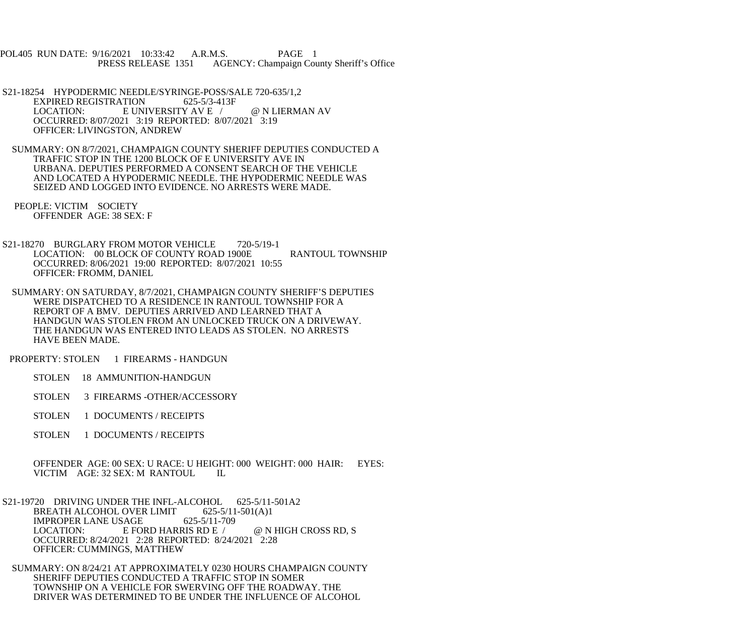POL405 RUN DATE: 9/16/2021 10:33:42 A.R.M.S. PAGE 1 PRESS RELEASE 1351 AGENCY: Champaign County Sheriff's Office

- S21-18254 HYPODERMIC NEEDLE/SYRINGE-POSS/SALE 720-635/1,2<br>EXPIRED REGISTRATION 625-5/3-413F EXPIRED REGISTRATION LOCATION: E UNIVERSITY AV E / @ N LIERMAN AV OCCURRED: 8/07/2021 3:19 REPORTED: 8/07/2021 3:19 OFFICER: LIVINGSTON, ANDREW
- SUMMARY: ON 8/7/2021, CHAMPAIGN COUNTY SHERIFF DEPUTIES CONDUCTED A TRAFFIC STOP IN THE 1200 BLOCK OF E UNIVERSITY AVE IN URBANA. DEPUTIES PERFORMED A CONSENT SEARCH OF THE VEHICLE AND LOCATED A HYPODERMIC NEEDLE. THE HYPODERMIC NEEDLE WAS SEIZED AND LOGGED INTO EVIDENCE. NO ARRESTS WERE MADE.
- PEOPLE: VICTIM SOCIETY OFFENDER AGE: 38 SEX: F
- S21-18270 BURGLARY FROM MOTOR VEHICLE 720-5/19-1 LOCATION: 00 BLOCK OF COUNTY ROAD 1900E RANTOUL TOWNSHIP OCCURRED: 8/06/2021 19:00 REPORTED: 8/07/2021 10:55 OFFICER: FROMM, DANIEL
- SUMMARY: ON SATURDAY, 8/7/2021, CHAMPAIGN COUNTY SHERIFF'S DEPUTIES WERE DISPATCHED TO A RESIDENCE IN RANTOUL TOWNSHIP FOR A REPORT OF A BMV. DEPUTIES ARRIVED AND LEARNED THAT A HANDGUN WAS STOLEN FROM AN UNLOCKED TRUCK ON A DRIVEWAY. THE HANDGUN WAS ENTERED INTO LEADS AS STOLEN. NO ARRESTS HAVE BEEN MADE.
- PROPERTY: STOLEN 1 FIREARMS HANDGUN
	- STOLEN 18 AMMUNITION-HANDGUN
	- STOLEN 3 FIREARMS -OTHER/ACCESSORY
	- STOLEN 1 DOCUMENTS / RECEIPTS
	- STOLEN 1 DOCUMENTS / RECEIPTS
	- OFFENDER AGE: 00 SEX: U RACE: U HEIGHT: 000 WEIGHT: 000 HAIR: EYES: VICTIM AGE: 32 SEX: M RANTOUL IL
- S21-19720 DRIVING UNDER THE INFL-ALCOHOL 625-5/11-501A2<br>BREATH ALCOHOL OVER LIMIT 625-5/11-501(A)1 BREATH ALCOHOL OVER LIMIT 625-5/11<br>IMPROPER LANE USAGE 625-5/11-709 IMPROPER LANE USAGE<br>LOCATION: E FO E FORD HARRIS RD E /  $@$  N HIGH CROSS RD, S OCCURRED: 8/24/2021 2:28 REPORTED: 8/24/2021 2:28 OFFICER: CUMMINGS, MATTHEW
- SUMMARY: ON 8/24/21 AT APPROXIMATELY 0230 HOURS CHAMPAIGN COUNTY SHERIFF DEPUTIES CONDUCTED A TRAFFIC STOP IN SOMER TOWNSHIP ON A VEHICLE FOR SWERVING OFF THE ROADWAY. THE DRIVER WAS DETERMINED TO BE UNDER THE INFLUENCE OF ALCOHOL